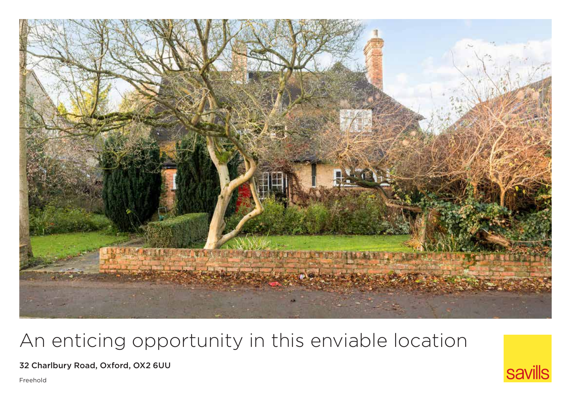

# An enticing opportunity in this enviable location

32 Charlbury Road, Oxford, OX2 6UU

Freehold

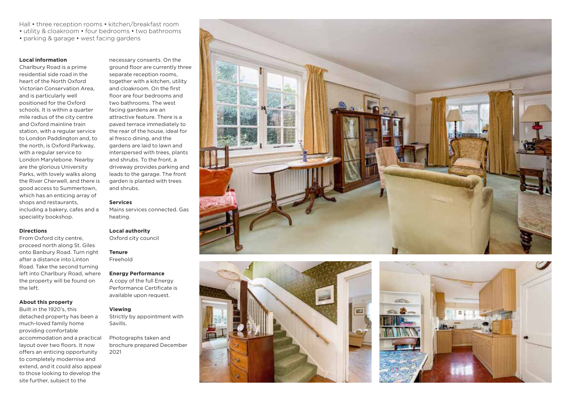Hall • three reception rooms • kitchen/breakfast room

• utility & cloakroom • four bedrooms • two bathrooms

• parking & garage • west facing gardens

## **Local information**

Charlbury Road is a prime residential side road in the heart of the North Oxford Victorian Conservation Area, and is particularly well positioned for the Oxford schools. It is within a quarter mile radius of the city centre and Oxford mainline train station, with a regular service to London Paddington and, to the north, is Oxford Parkway, with a regular service to London Marylebone. Nearby are the glorious University Parks, with lovely walks along the River Cherwell, and there is good access to Summertown, which has an enticing array of shops and restaurants, including a bakery, cafes and a speciality bookshop.

## **Directions**

From Oxford city centre, proceed north along St. Giles onto Banbury Road. Turn right after a distance into Linton Road. Take the second turning left into Charlbury Road, where the property will be found on the left.

# **About this property**

Built in the 1920's, this detached property has been a much-loved family home providing comfortable accommodation and a practical layout over two floors. It now offers an enticing opportunity to completely modernise and extend, and it could also appeal to those looking to develop the site further, subject to the

necessary consents. On the ground floor are currently three separate reception rooms, together with a kitchen, utility and cloakroom. On the first floor are four bedrooms and two bathrooms. The west facing gardens are an attractive feature. There is a paved terrace immediately to the rear of the house, ideal for al fresco dining, and the gardens are laid to lawn and interspersed with trees, plants and shrubs. To the front, a driveway provides parking and leads to the garage. The front garden is planted with trees and shrubs.

#### **Services**

Mains services connected. Gas heating.

### **Local authority**

Oxford city council

#### **Tenure**

Freehold

#### **Energy Performance**

A copy of the full Energy Performance Certificate is available upon request.

## **Viewing**

Strictly by appointment with Savills.

Photographs taken and brochure prepared December 2021





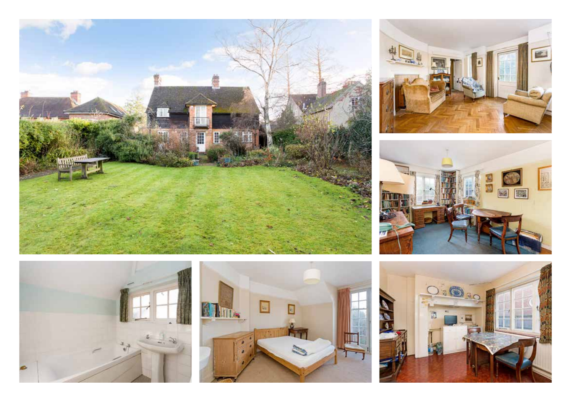